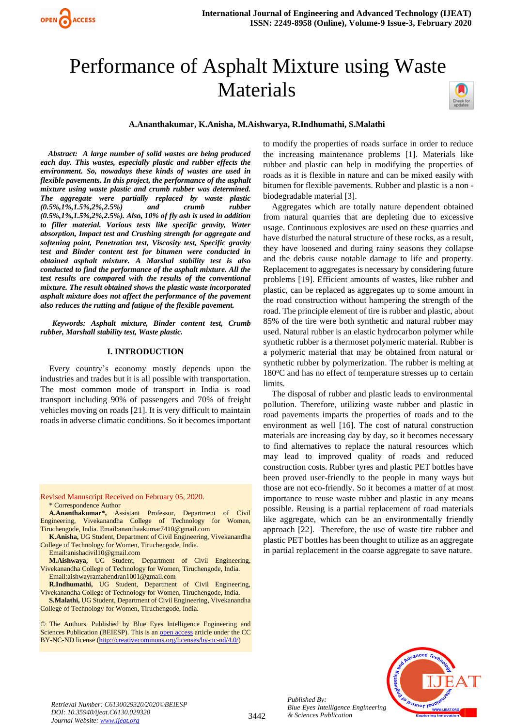

# Performance of Asphalt Mixture using Waste Materials



#### **A.Ananthakumar, K.Anisha, M.Aishwarya, R.Indhumathi, S.Malathi**

 *Abstract: A large number of solid wastes are being produced each day. This wastes, especially plastic and rubber effects the environment. So, nowadays these kinds of wastes are used in flexible pavements. In this project, the performance of the asphalt mixture using waste plastic and crumb rubber was determined. The aggregate were partially replaced by waste plastic (0.5%,1%,1.5%,2%,2.5%) and crumb rubber (0.5%,1%,1.5%,2%,2.5%). Also, 10% of fly ash is used in addition to filler material. Various tests like specific gravity, Water absorption, Impact test and Crushing strength for aggregate and softening point, Penetration test, Viscosity test, Specific gravity test and Binder content test for bitumen were conducted in obtained asphalt mixture. A Marshal stability test is also conducted to find the performance of the asphalt mixture. All the test results are compared with the results of the conventional mixture. The result obtained shows the plastic waste incorporated asphalt mixture does not affect the performance of the pavement also reduces the rutting and fatigue of the flexible pavement.*

 *Keywords: Asphalt mixture, Binder content test, Crumb rubber, Marshall stability test, Waste plastic.*

#### **I. INTRODUCTION**

Every country's economy mostly depends upon the industries and trades but it is all possible with transportation. The most common mode of transport in India is road transport including 90% of passengers and 70% of freight vehicles moving on roads [21]. It is very difficult to maintain roads in adverse climatic conditions. So it becomes important

Revised Manuscript Received on February 05, 2020. \* Correspondence Author

- **A.Ananthakumar\*,** Assistant Professor, Department of Civil Engineering, Vivekanandha College of Technology for Women, Tiruchengode, India. Email:ananthaakumar7410@gmail.com
- **K.Anisha,** UG Student, Department of Civil Engineering, Vivekanandha College of Technology for Women, Tiruchengode, India.
- Email:anishacivil10@gmail.com
- **M.Aishwaya,** UG Student, Department of Civil Engineering, Vivekanandha College of Technology for Women, Tiruchengode, India. Email:aishwayramahendran1001@gmail.com
- **R.Indhumathi,** UG Student, Department of Civil Engineering, Vivekanandha College of Technology for Women, Tiruchengode, India.
- **S.Malathi,** UG Student, Department of Civil Engineering, Vivekanandha College of Technology for Women, Tiruchengode, India.

© The Authors. Published by Blue Eyes Intelligence Engineering and Sciences Publication (BEIESP). This is a[n open access](https://www.openaccess.nl/en/open-publications) article under the CC BY-NC-ND license [\(http://creativecommons.org/licenses/by-nc-nd/4.0/\)](http://creativecommons.org/licenses/by-nc-nd/4.0/)

to modify the properties of roads surface in order to reduce the increasing maintenance problems [1]. Materials like rubber and plastic can help in modifying the properties of roads as it is flexible in nature and can be mixed easily with bitumen for flexible pavements. Rubber and plastic is a non biodegradable material [3].

Aggregates which are totally nature dependent obtained from natural quarries that are depleting due to excessive usage. Continuous explosives are used on these quarries and have disturbed the natural structure of these rocks, as a result, they have loosened and during rainy seasons they collapse and the debris cause notable damage to life and property. Replacement to aggregates is necessary by considering future problems [19]. Efficient amounts of wastes, like rubber and plastic, can be replaced as aggregates up to some amount in the road construction without hampering the strength of the road. The principle element of tire is rubber and plastic, about 85% of the tire were both synthetic and natural rubber may used. Natural rubber is an elastic hydrocarbon polymer while synthetic rubber is a thermoset polymeric material. Rubber is a polymeric material that may be obtained from natural or synthetic rubber by polymerization. The rubber is melting at 180°C and has no effect of temperature stresses up to certain limits.

The disposal of rubber and plastic leads to environmental pollution. Therefore, utilizing waste rubber and plastic in road pavements imparts the properties of roads and to the environment as well [16]. The cost of natural construction materials are increasing day by day, so it becomes necessary to find alternatives to replace the natural resources which may lead to improved quality of roads and reduced construction costs. Rubber tyres and plastic PET bottles have been proved user-friendly to the people in many ways but those are not eco-friendly. So it becomes a matter of at most importance to reuse waste rubber and plastic in any means possible. Reusing is a partial replacement of road materials like aggregate, which can be an environmentally friendly approach [22]. Therefore, the use of waste tire rubber and plastic PET bottles has been thought to utilize as an aggregate in partial replacement in the coarse aggregate to save nature.



*Published By: Blue Eyes Intelligence Engineering & Sciences Publication*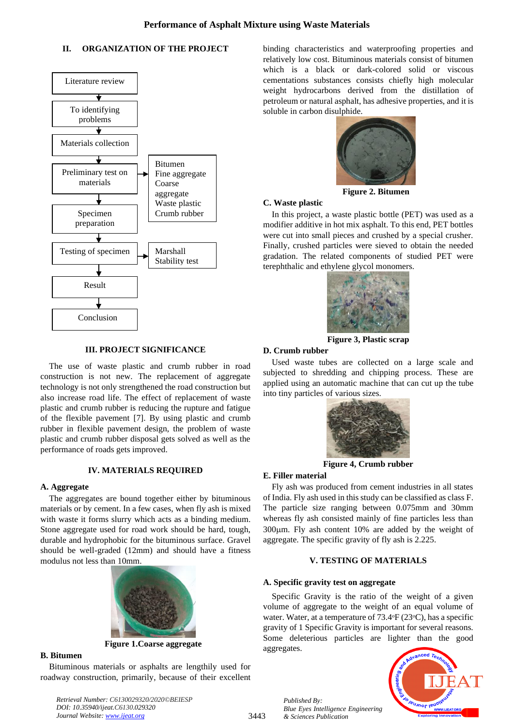# **II. ORGANIZATION OF THE PROJECT**



# **III. PROJECT SIGNIFICANCE**

The use of waste plastic and crumb rubber in road construction is not new. The replacement of aggregate technology is not only strengthened the road construction but also increase road life. The effect of replacement of waste plastic and crumb rubber is reducing the rupture and fatigue of the flexible pavement [7]. By using plastic and crumb rubber in flexible pavement design, the problem of waste plastic and crumb rubber disposal gets solved as well as the performance of roads gets improved.

# **IV. MATERIALS REQUIRED**

### **A. Aggregate**

The aggregates are bound together either by bituminous materials or by cement. In a few cases, when fly ash is mixed with waste it forms slurry which acts as a binding medium. Stone aggregate used for road work should be hard, tough, durable and hydrophobic for the bituminous surface. Gravel should be well-graded (12mm) and should have a fitness modulus not less than 10mm.



**Figure 1.Coarse aggregate**

# **B. Bitumen**

Bituminous materials or asphalts are lengthily used for roadway construction, primarily, because of their excellent binding characteristics and waterproofing properties and relatively low cost. Bituminous materials consist of bitumen which is a black or dark-colored solid or viscous cementations substances consists chiefly high molecular weight hydrocarbons derived from the distillation of petroleum or natural asphalt, has adhesive properties, and it is soluble in carbon disulphide.



**Figure 2. Bitumen**

## **C. Waste plastic**

In this project, a waste plastic bottle (PET) was used as a modifier additive in hot mix asphalt. To this end, PET bottles were cut into small pieces and crushed by a special crusher. Finally, crushed particles were sieved to obtain the needed gradation. The related components of studied PET were terephthalic and ethylene glycol monomers.



**Figure 3, Plastic scrap**

#### **D. Crumb rubber**

Used waste tubes are collected on a large scale and subjected to shredding and chipping process. These are applied using an automatic machine that can cut up the tube into tiny particles of various sizes.



**Figure 4, Crumb rubber**

#### **E. Filler material**

Fly ash was produced from cement industries in all states of India. Fly ash used in this study can be classified as class F. The particle size ranging between 0.075mm and 30mm whereas fly ash consisted mainly of fine particles less than 300m. Fly ash content 10% are added by the weight of aggregate. The specific gravity of fly ash is 2.225.

# **V. TESTING OF MATERIALS**

# **A. Specific gravity test on aggregate**

*Blue Eyes Intelligence Engineering* 

*Published By:*

*& Sciences Publication* 

Specific Gravity is the ratio of the weight of a given volume of aggregate to the weight of an equal volume of water. Water, at a temperature of  $73.4\text{°F}$  (23 $\text{°C}$ ), has a specific gravity of 1 Specific Gravity is important for several reasons. Some deleterious particles are lighter than the good aggregates.



*Retrieval Number: C6130029320/2020©BEIESP DOI: 10.35940/ijeat.C6130.029320 Journal Website[: www.ijeat.org](http://www.ijeat.org/)*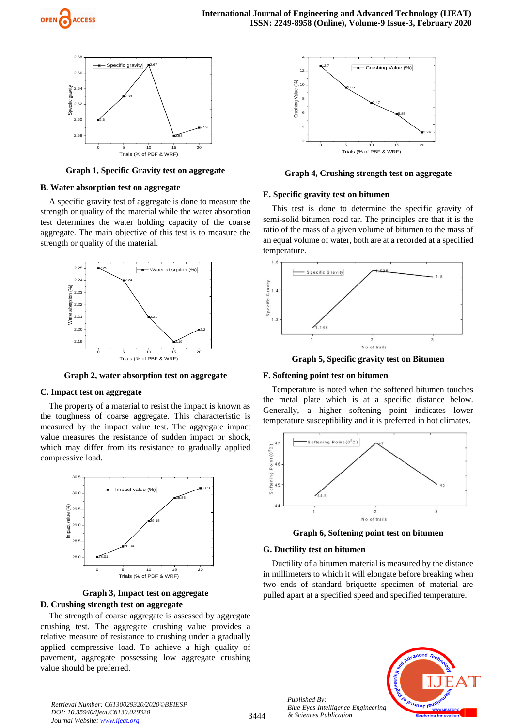



**Graph 1, Specific Gravity test on aggregate**

# **B. Water absorption test on aggregate**

A specific gravity test of aggregate is done to measure the strength or quality of the material while the water absorption test determines the water holding capacity of the coarse aggregate. The main objective of this test is to measure the strength or quality of the material.



**Graph 2, water absorption test on aggregate**

#### **C. Impact test on aggregate**

The property of a material to resist the impact is known as the toughness of coarse aggregate. This characteristic is measured by the impact value test. The aggregate impact value measures the resistance of sudden impact or shock, which may differ from its resistance to gradually applied compressive load.



**Graph 3, Impact test on aggregate D. Crushing strength test on aggregate**

The strength of coarse aggregate is assessed by aggregate crushing test. The aggregate crushing value provides a relative measure of resistance to crushing under a gradually applied compressive load. To achieve a high quality of pavement, aggregate possessing low aggregate crushing value should be preferred.



**Graph 4, Crushing strength test on aggregate**

#### **E. Specific gravity test on bitumen**

This test is done to determine the specific gravity of semi-solid bitumen road tar. The principles are that it is the ratio of the mass of a given volume of bitumen to the mass of an equal volume of water, both are at a recorded at a specified temperature.



**Graph 5, Specific gravity test on Bitumen**

#### **F. Softening point test on bitumen**

Temperature is noted when the softened bitumen touches the metal plate which is at a specific distance below. Generally, a higher softening point indicates lower temperature susceptibility and it is preferred in hot climates.



**Graph 6, Softening point test on bitumen**

#### **G. Ductility test on bitumen**

Ductility of a bitumen material is measured by the distance in millimeters to which it will elongate before breaking when two ends of standard briquette specimen of material are pulled apart at a specified speed and specified temperature.



*Published By: Blue Eyes Intelligence Engineering & Sciences Publication*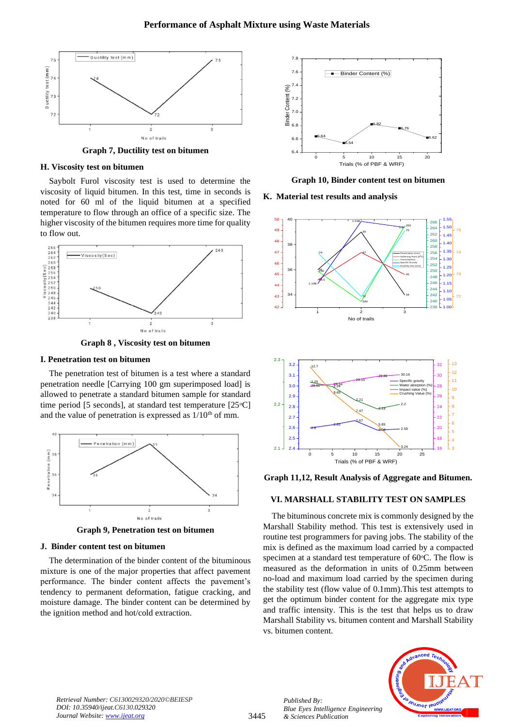

**Graph 7, Ductility test on bitumen**

#### **H. Viscosity test on bitumen**

Saybolt Furol viscosity test is used to determine the viscosity of liquid bitumen. In this test, time in seconds is noted for 60 ml of the liquid bitumen at a specified temperature to flow through an office of a specific size. The higher viscosity of the bitumen requires more time for quality to flow out.



**Graph 8 , Viscosity test on bitumen**

#### **I. Penetration test on bitumen**

The penetration test of bitumen is a test where a standard penetration needle [Carrying 100 gm superimposed load] is allowed to penetrate a standard bitumen sample for standard time period [5 seconds], at standard test temperature  $[25^{\circ}C]$ and the value of penetration is expressed as  $1/10<sup>th</sup>$  of mm.



**Graph 9, Penetration test on bitumen**

#### **J. Binder content test on bitumen**

The determination of the binder content of the bituminous mixture is one of the major properties that affect pavement performance. The binder content affects the pavement's tendency to permanent deformation, fatigue cracking, and moisture damage. The binder content can be determined by the ignition method and hot/cold extraction.



**Graph 10, Binder content test on bitumen**

**K. Material test results and analysis**





**Graph 11,12, Result Analysis of Aggregate and Bitumen.**

# **VI. MARSHALL STABILITY TEST ON SAMPLES**

The bituminous concrete mix is commonly designed by the Marshall Stability method. This test is extensively used in routine test programmers for paving jobs. The stability of the mix is defined as the maximum load carried by a compacted specimen at a standard test temperature of  $60^{\circ}$ C. The flow is measured as the deformation in units of 0.25mm between no-load and maximum load carried by the specimen during the stability test (flow value of 0.1mm).This test attempts to get the optimum binder content for the aggregate mix type and traffic intensity. This is the test that helps us to draw Marshall Stability vs. bitumen content and Marshall Stability vs. bitumen content.



*Published By:*

*& Sciences Publication* 

*Blue Eyes Intelligence Engineering*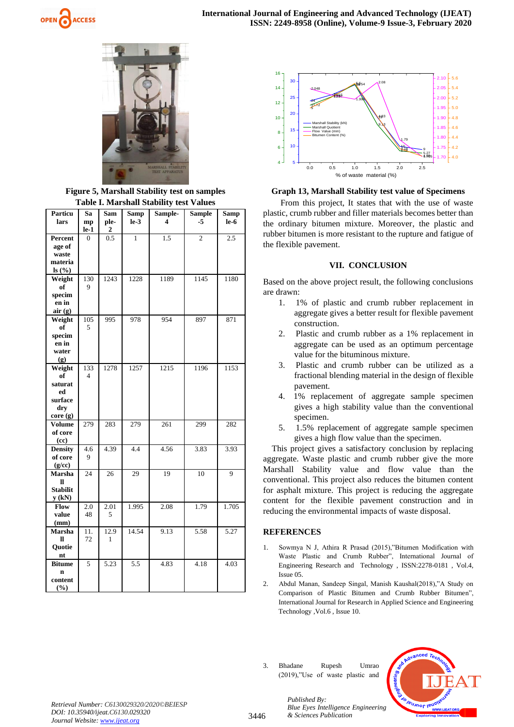



**Figure 5, Marshall Stability test on samples Table I. Marshall Stability test Values**

| <b>Particu</b><br>lars    | Sa<br>mp                | Sam<br>ple-      | <b>Samp</b><br>$le-3$ | Sample-<br>4 | <b>Sample</b><br>-5 | <b>Samp</b><br>le-6 |
|---------------------------|-------------------------|------------------|-----------------------|--------------|---------------------|---------------------|
|                           | $le-1$                  | $\boldsymbol{2}$ |                       |              |                     |                     |
| Percent                   | $\overline{0}$          | 0.5              | $\mathbf{1}$          | 1.5          | $\overline{c}$      | 2.5                 |
| age of                    |                         |                  |                       |              |                     |                     |
| waste                     |                         |                  |                       |              |                     |                     |
| materia                   |                         |                  |                       |              |                     |                     |
| ls(%)                     |                         |                  |                       |              |                     |                     |
| Weight                    | 130                     | 1243             | 1228                  | 1189         | 1145                | 1180                |
| of                        | 9                       |                  |                       |              |                     |                     |
| specim                    |                         |                  |                       |              |                     |                     |
| en in<br>air(g)           |                         |                  |                       |              |                     |                     |
| Weight                    | 105                     | 995              | 978                   | 954          | 897                 | 871                 |
| of                        | 5                       |                  |                       |              |                     |                     |
| specim                    |                         |                  |                       |              |                     |                     |
| en in                     |                         |                  |                       |              |                     |                     |
| water                     |                         |                  |                       |              |                     |                     |
| (g)                       |                         |                  |                       |              |                     |                     |
| Weight                    | 133                     | 1278             | 1257                  | 1215         | 1196                | 1153                |
| of                        | $\overline{\mathbf{4}}$ |                  |                       |              |                     |                     |
| saturat                   |                         |                  |                       |              |                     |                     |
| ed                        |                         |                  |                       |              |                     |                     |
| surface                   |                         |                  |                       |              |                     |                     |
| dry                       |                         |                  |                       |              |                     |                     |
| core (g)                  |                         |                  |                       |              |                     |                     |
| <b>Volume</b>             | 279                     | 283              | 279                   | 261          | 299                 | 282                 |
| of core                   |                         |                  |                       |              |                     |                     |
| (cc)                      |                         |                  |                       |              |                     |                     |
| <b>Density</b><br>of core | 4.6<br>9                | 4.39             | 4.4                   | 4.56         | 3.83                | 3.93                |
| (g/cc)                    |                         |                  |                       |              |                     |                     |
| Marsha                    | 24                      | 26               | 29                    | 19           | 10                  | 9                   |
| H                         |                         |                  |                       |              |                     |                     |
| <b>Stabilit</b>           |                         |                  |                       |              |                     |                     |
| $y$ (kN)                  |                         |                  |                       |              |                     |                     |
| Flow                      | 2.0                     | 2.01             | 1.995                 | 2.08         | 1.79                | 1.705               |
| value                     | 48                      | 5                |                       |              |                     |                     |
| (mm)                      |                         |                  |                       |              |                     |                     |
| Marsha                    | 11.                     | 12.9             | 14.54                 | 9.13         | 5.58                | 5.27                |
| Ħ                         | 72                      | 1                |                       |              |                     |                     |
| Quotie                    |                         |                  |                       |              |                     |                     |
| nt                        |                         |                  |                       |              |                     |                     |
| <b>Bitume</b>             | 5                       | 5.23             | 5.5                   | 4.83         | 4.18                | 4.03                |
| $\mathbf n$               |                         |                  |                       |              |                     |                     |
| content                   |                         |                  |                       |              |                     |                     |
| (%)                       |                         |                  |                       |              |                     |                     |



**Graph 13, Marshall Stability test value of Specimens**

From this project, It states that with the use of waste plastic, crumb rubber and filler materials becomes better than the ordinary bitumen mixture. Moreover, the plastic and rubber bitumen is more resistant to the rupture and fatigue of the flexible pavement.

# **VII. CONCLUSION**

Based on the above project result, the following conclusions are drawn:

- 1. 1% of plastic and crumb rubber replacement in aggregate gives a better result for flexible pavement construction.
- 2. Plastic and crumb rubber as a 1% replacement in aggregate can be used as an optimum percentage value for the bituminous mixture.
- 3. Plastic and crumb rubber can be utilized as a fractional blending material in the design of flexible pavement.
- 4. 1% replacement of aggregate sample specimen gives a high stability value than the conventional specimen.
- 5. 1.5% replacement of aggregate sample specimen gives a high flow value than the specimen.

This project gives a satisfactory conclusion by replacing aggregate. Waste plastic and crumb rubber give the more Marshall Stability value and flow value than the conventional. This project also reduces the bitumen content for asphalt mixture. This project is reducing the aggregate content for the flexible pavement construction and in reducing the environmental impacts of waste disposal.

# **REFERENCES**

- 1. Sowmya N J, Athira R Prasad (2015),"Bitumen Modification with Waste Plastic and Crumb Rubber", International Journal of Engineering Research and Technology , ISSN:2278-0181 , Vol.4, Issue 05.
- 2. Abdul Manan, Sandeep Singal, Manish Kaushal(2018),"A Study on Comparison of Plastic Bitumen and Crumb Rubber Bitumen", International Journal for Research in Applied Science and Engineering Technology ,Vol.6 , Issue 10.
- 3. Bhadane Rupesh Umrao (2019),"Use of waste plastic and



*Retrieval Number: C6130029320/2020©BEIESP DOI: 10.35940/ijeat.C6130.029320 Journal Website[: www.ijeat.org](http://www.ijeat.org/)*

3446

*Published By: Blue Eyes Intelligence Engineering & Sciences Publication*